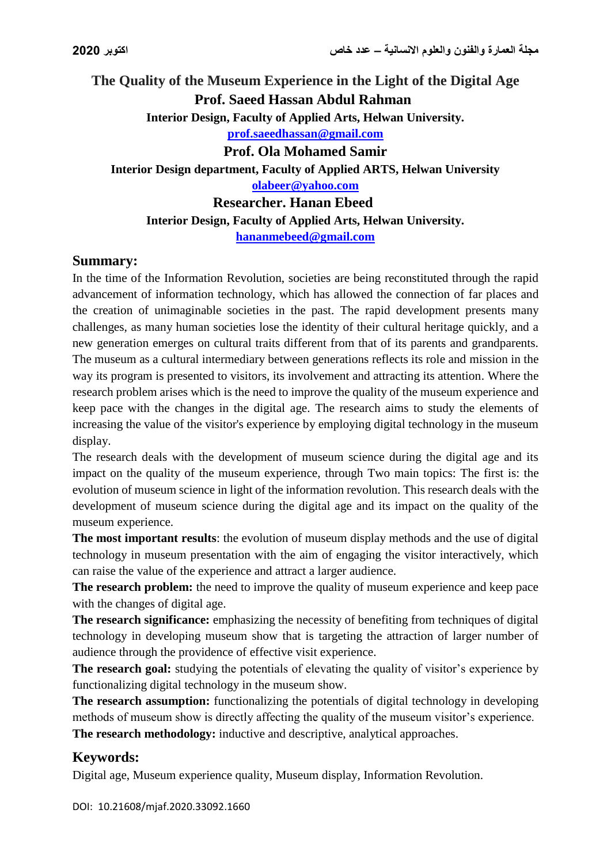**The Quality of the Museum Experience in the Light of the Digital Age Prof. Saeed Hassan Abdul Rahman Interior Design, Faculty of Applied Arts, Helwan University. [prof.saeedhassan@gmail.com](mailto:prof.saeedhassan@gmail.com) Prof. Ola Mohamed Samir Interior Design department, Faculty of Applied ARTS, Helwan University [olabeer@yahoo.com](mailto:olabeer@yahoo.com) Researcher. Hanan Ebeed Interior Design, Faculty of Applied Arts, Helwan University. [hananmebeed@gmail.com](mailto:hananmebeed@gmail.com)**

# **Summary:**

In the time of the Information Revolution, societies are being reconstituted through the rapid advancement of information technology, which has allowed the connection of far places and the creation of unimaginable societies in the past. The rapid development presents many challenges, as many human societies lose the identity of their cultural heritage quickly, and a new generation emerges on cultural traits different from that of its parents and grandparents. The museum as a cultural intermediary between generations reflects its role and mission in the way its program is presented to visitors, its involvement and attracting its attention. Where the research problem arises which is the need to improve the quality of the museum experience and keep pace with the changes in the digital age. The research aims to study the elements of increasing the value of the visitor's experience by employing digital technology in the museum display.

The research deals with the development of museum science during the digital age and its impact on the quality of the museum experience, through Two main topics: The first is: the evolution of museum science in light of the information revolution. This research deals with the development of museum science during the digital age and its impact on the quality of the museum experience.

**The most important results**: the evolution of museum display methods and the use of digital technology in museum presentation with the aim of engaging the visitor interactively, which can raise the value of the experience and attract a larger audience.

**The research problem:** the need to improve the quality of museum experience and keep pace with the changes of digital age.

**The research significance:** emphasizing the necessity of benefiting from techniques of digital technology in developing museum show that is targeting the attraction of larger number of audience through the providence of effective visit experience.

**The research goal:** studying the potentials of elevating the quality of visitor's experience by functionalizing digital technology in the museum show.

**The research assumption:** functionalizing the potentials of digital technology in developing methods of museum show is directly affecting the quality of the museum visitor's experience. **The research methodology:** inductive and descriptive, analytical approaches.

# **Keywords:**

Digital age, Museum experience quality, Museum display, Information Revolution.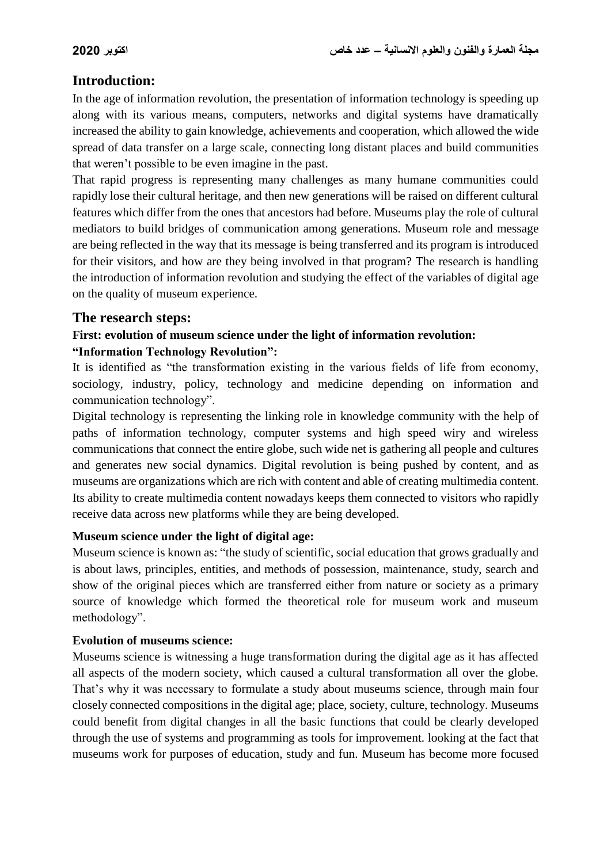# **Introduction:**

In the age of information revolution, the presentation of information technology is speeding up along with its various means, computers, networks and digital systems have dramatically increased the ability to gain knowledge, achievements and cooperation, which allowed the wide spread of data transfer on a large scale, connecting long distant places and build communities that weren't possible to be even imagine in the past.

That rapid progress is representing many challenges as many humane communities could rapidly lose their cultural heritage, and then new generations will be raised on different cultural features which differ from the ones that ancestors had before. Museums play the role of cultural mediators to build bridges of communication among generations. Museum role and message are being reflected in the way that its message is being transferred and its program is introduced for their visitors, and how are they being involved in that program? The research is handling the introduction of information revolution and studying the effect of the variables of digital age on the quality of museum experience.

### **The research steps:**

# **First: evolution of museum science under the light of information revolution: "Information Technology Revolution":**

It is identified as "the transformation existing in the various fields of life from economy, sociology, industry, policy, technology and medicine depending on information and communication technology".

Digital technology is representing the linking role in knowledge community with the help of paths of information technology, computer systems and high speed wiry and wireless communications that connect the entire globe, such wide net is gathering all people and cultures and generates new social dynamics. Digital revolution is being pushed by content, and as museums are organizations which are rich with content and able of creating multimedia content. Its ability to create multimedia content nowadays keeps them connected to visitors who rapidly receive data across new platforms while they are being developed.

#### **Museum science under the light of digital age:**

Museum science is known as: "the study of scientific, social education that grows gradually and is about laws, principles, entities, and methods of possession, maintenance, study, search and show of the original pieces which are transferred either from nature or society as a primary source of knowledge which formed the theoretical role for museum work and museum methodology".

#### **Evolution of museums science:**

Museums science is witnessing a huge transformation during the digital age as it has affected all aspects of the modern society, which caused a cultural transformation all over the globe. That's why it was necessary to formulate a study about museums science, through main four closely connected compositions in the digital age; place, society, culture, technology. Museums could benefit from digital changes in all the basic functions that could be clearly developed through the use of systems and programming as tools for improvement. looking at the fact that museums work for purposes of education, study and fun. Museum has become more focused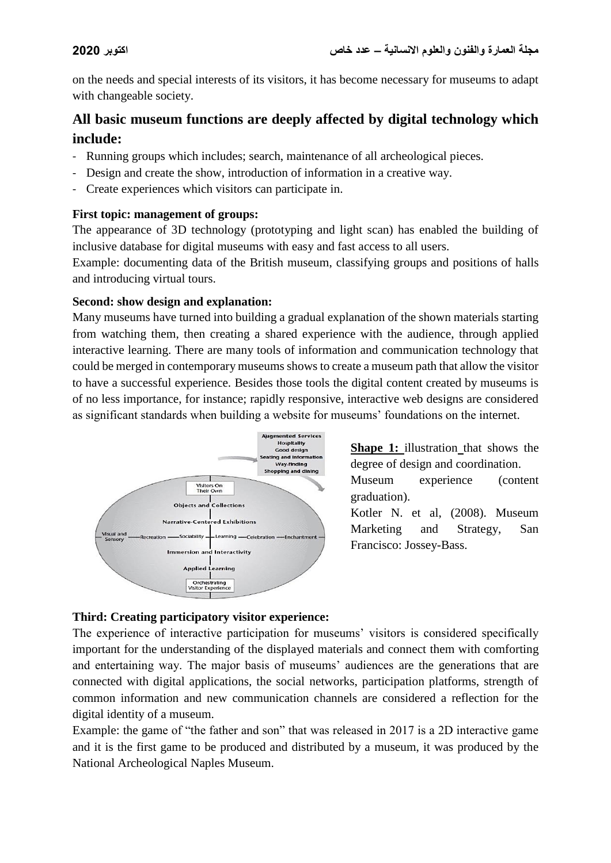on the needs and special interests of its visitors, it has become necessary for museums to adapt with changeable society.

# **All basic museum functions are deeply affected by digital technology which include:**

- Running groups which includes; search, maintenance of all archeological pieces.
- Design and create the show, introduction of information in a creative way.
- Create experiences which visitors can participate in.

### **First topic: management of groups:**

The appearance of 3D technology (prototyping and light scan) has enabled the building of inclusive database for digital museums with easy and fast access to all users.

Example: documenting data of the British museum, classifying groups and positions of halls and introducing virtual tours.

### **Second: show design and explanation:**

Many museums have turned into building a gradual explanation of the shown materials starting from watching them, then creating a shared experience with the audience, through applied interactive learning. There are many tools of information and communication technology that could be merged in contemporary museums shows to create a museum path that allow the visitor to have a successful experience. Besides those tools the digital content created by museums is of no less importance, for instance; rapidly responsive, interactive web designs are considered as significant standards when building a website for museums' foundations on the internet.



**Shape 1:** illustration that shows the degree of design and coordination.

Museum experience (content graduation).

Kotler N. et al, (2008). Museum Marketing and Strategy, San Francisco: Jossey-Bass.

# **Third: Creating participatory visitor experience:**

The experience of interactive participation for museums' visitors is considered specifically important for the understanding of the displayed materials and connect them with comforting and entertaining way. The major basis of museums' audiences are the generations that are connected with digital applications, the social networks, participation platforms, strength of common information and new communication channels are considered a reflection for the digital identity of a museum.

Example: the game of "the father and son" that was released in 2017 is a 2D interactive game and it is the first game to be produced and distributed by a museum, it was produced by the National Archeological Naples Museum.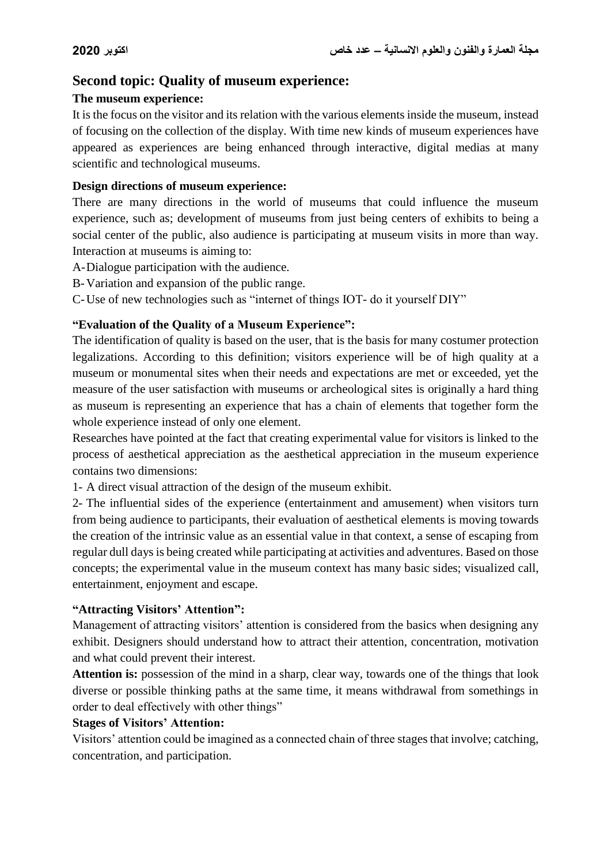# **Second topic: Quality of museum experience:**

### **The museum experience:**

It is the focus on the visitor and its relation with the various elements inside the museum, instead of focusing on the collection of the display. With time new kinds of museum experiences have appeared as experiences are being enhanced through interactive, digital medias at many scientific and technological museums.

## **Design directions of museum experience:**

There are many directions in the world of museums that could influence the museum experience, such as; development of museums from just being centers of exhibits to being a social center of the public, also audience is participating at museum visits in more than way. Interaction at museums is aiming to:

- A-Dialogue participation with the audience.
- B-Variation and expansion of the public range.
- C-Use of new technologies such as "internet of things IOT- do it yourself DIY"

### **"Evaluation of the Quality of a Museum Experience":**

The identification of quality is based on the user, that is the basis for many costumer protection legalizations. According to this definition; visitors experience will be of high quality at a museum or monumental sites when their needs and expectations are met or exceeded, yet the measure of the user satisfaction with museums or archeological sites is originally a hard thing as museum is representing an experience that has a chain of elements that together form the whole experience instead of only one element.

Researches have pointed at the fact that creating experimental value for visitors is linked to the process of aesthetical appreciation as the aesthetical appreciation in the museum experience contains two dimensions:

1- A direct visual attraction of the design of the museum exhibit.

2- The influential sides of the experience (entertainment and amusement) when visitors turn from being audience to participants, their evaluation of aesthetical elements is moving towards the creation of the intrinsic value as an essential value in that context, a sense of escaping from regular dull days is being created while participating at activities and adventures. Based on those concepts; the experimental value in the museum context has many basic sides; visualized call, entertainment, enjoyment and escape.

#### **"Attracting Visitors' Attention":**

Management of attracting visitors' attention is considered from the basics when designing any exhibit. Designers should understand how to attract their attention, concentration, motivation and what could prevent their interest.

**Attention is:** possession of the mind in a sharp, clear way, towards one of the things that look diverse or possible thinking paths at the same time, it means withdrawal from somethings in order to deal effectively with other things"

#### **Stages of Visitors' Attention:**

Visitors' attention could be imagined as a connected chain of three stages that involve; catching, concentration, and participation.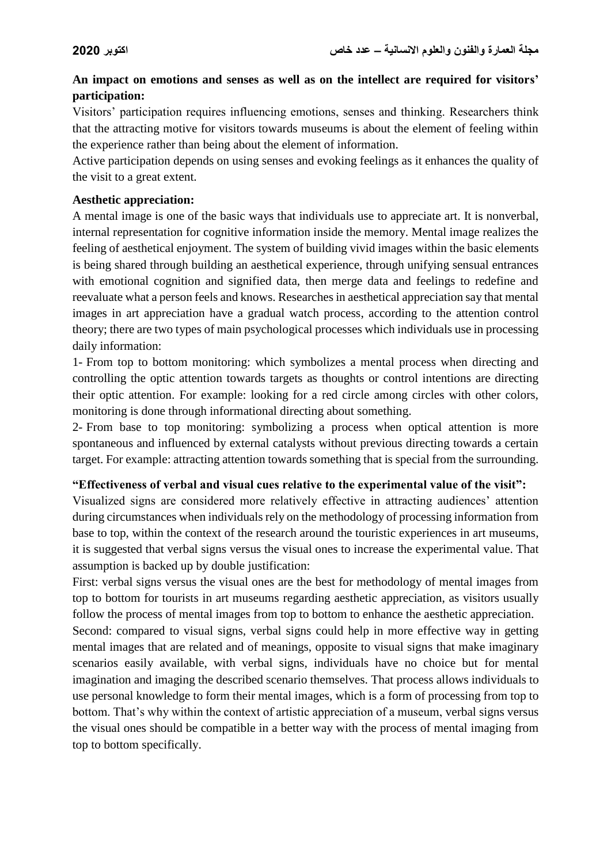# **An impact on emotions and senses as well as on the intellect are required for visitors' participation:**

Visitors' participation requires influencing emotions, senses and thinking. Researchers think that the attracting motive for visitors towards museums is about the element of feeling within the experience rather than being about the element of information.

Active participation depends on using senses and evoking feelings as it enhances the quality of the visit to a great extent.

#### **Aesthetic appreciation:**

A mental image is one of the basic ways that individuals use to appreciate art. It is nonverbal, internal representation for cognitive information inside the memory. Mental image realizes the feeling of aesthetical enjoyment. The system of building vivid images within the basic elements is being shared through building an aesthetical experience, through unifying sensual entrances with emotional cognition and signified data, then merge data and feelings to redefine and reevaluate what a person feels and knows. Researches in aesthetical appreciation say that mental images in art appreciation have a gradual watch process, according to the attention control theory; there are two types of main psychological processes which individuals use in processing daily information:

1- From top to bottom monitoring: which symbolizes a mental process when directing and controlling the optic attention towards targets as thoughts or control intentions are directing their optic attention. For example: looking for a red circle among circles with other colors, monitoring is done through informational directing about something.

2- From base to top monitoring: symbolizing a process when optical attention is more spontaneous and influenced by external catalysts without previous directing towards a certain target. For example: attracting attention towards something that is special from the surrounding.

#### **"Effectiveness of verbal and visual cues relative to the experimental value of the visit":**

Visualized signs are considered more relatively effective in attracting audiences' attention during circumstances when individuals rely on the methodology of processing information from base to top, within the context of the research around the touristic experiences in art museums, it is suggested that verbal signs versus the visual ones to increase the experimental value. That assumption is backed up by double justification:

First: verbal signs versus the visual ones are the best for methodology of mental images from top to bottom for tourists in art museums regarding aesthetic appreciation, as visitors usually follow the process of mental images from top to bottom to enhance the aesthetic appreciation.

Second: compared to visual signs, verbal signs could help in more effective way in getting mental images that are related and of meanings, opposite to visual signs that make imaginary scenarios easily available, with verbal signs, individuals have no choice but for mental imagination and imaging the described scenario themselves. That process allows individuals to use personal knowledge to form their mental images, which is a form of processing from top to bottom. That's why within the context of artistic appreciation of a museum, verbal signs versus the visual ones should be compatible in a better way with the process of mental imaging from top to bottom specifically.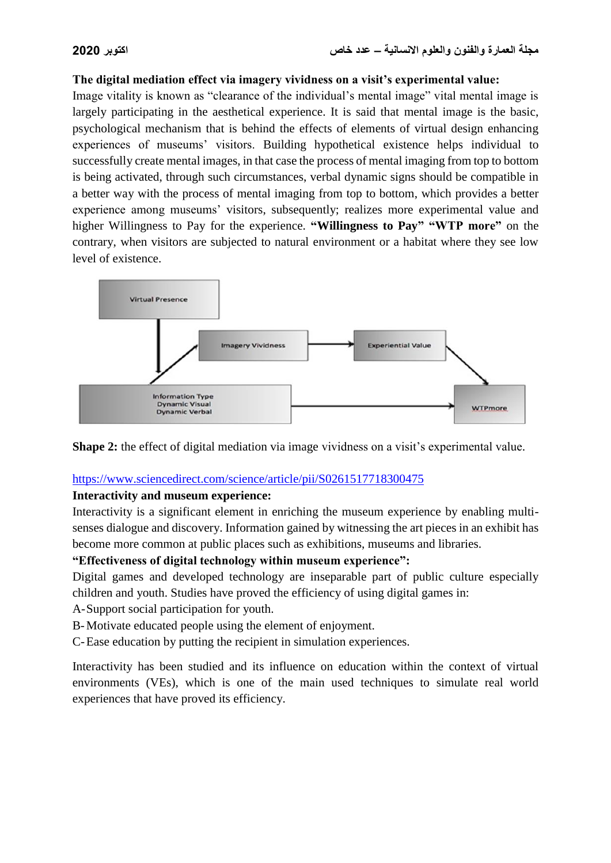#### **The digital mediation effect via imagery vividness on a visit's experimental value:**

Image vitality is known as "clearance of the individual's mental image" vital mental image is largely participating in the aesthetical experience. It is said that mental image is the basic, psychological mechanism that is behind the effects of elements of virtual design enhancing experiences of museums' visitors. Building hypothetical existence helps individual to successfully create mental images, in that case the process of mental imaging from top to bottom is being activated, through such circumstances, verbal dynamic signs should be compatible in a better way with the process of mental imaging from top to bottom, which provides a better experience among museums' visitors, subsequently; realizes more experimental value and higher Willingness to Pay for the experience. **"Willingness to Pay" "WTP more"** on the contrary, when visitors are subjected to natural environment or a habitat where they see low level of existence.





#### <https://www.sciencedirect.com/science/article/pii/S0261517718300475>

#### **Interactivity and museum experience:**

Interactivity is a significant element in enriching the museum experience by enabling multisenses dialogue and discovery. Information gained by witnessing the art pieces in an exhibit has become more common at public places such as exhibitions, museums and libraries.

#### **"Effectiveness of digital technology within museum experience":**

Digital games and developed technology are inseparable part of public culture especially children and youth. Studies have proved the efficiency of using digital games in:

A-Support social participation for youth.

B-Motivate educated people using the element of enjoyment.

C-Ease education by putting the recipient in simulation experiences.

Interactivity has been studied and its influence on education within the context of virtual environments (VEs), which is one of the main used techniques to simulate real world experiences that have proved its efficiency.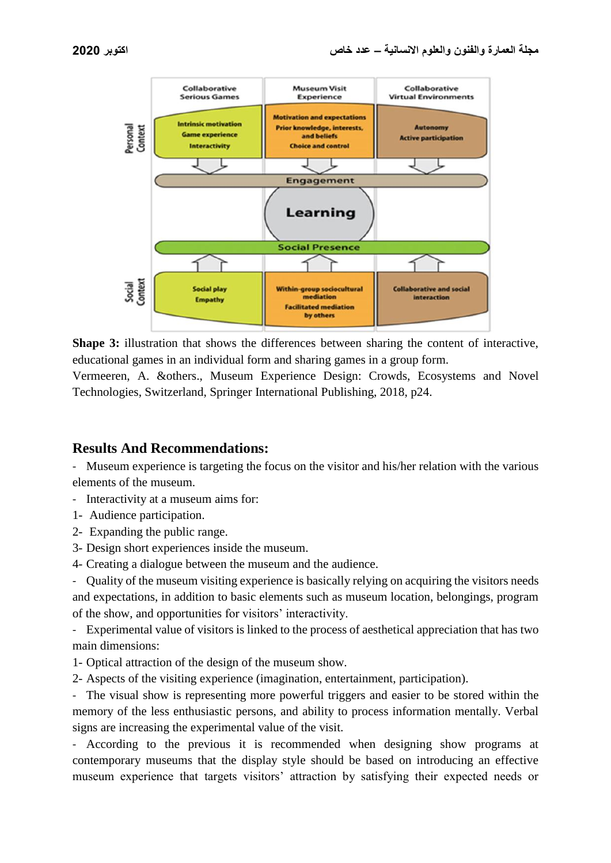

**Shape 3:** illustration that shows the differences between sharing the content of interactive, educational games in an individual form and sharing games in a group form.

Vermeeren, A. &others., Museum Experience Design: Crowds, Ecosystems and Novel Technologies, Switzerland, Springer International Publishing, 2018, p24.

# **Results And Recommendations:**

- Museum experience is targeting the focus on the visitor and his/her relation with the various elements of the museum.

- Interactivity at a museum aims for:
- 1- Audience participation.
- 2- Expanding the public range.
- 3- Design short experiences inside the museum.
- 4- Creating a dialogue between the museum and the audience.

- Quality of the museum visiting experience is basically relying on acquiring the visitors needs and expectations, in addition to basic elements such as museum location, belongings, program of the show, and opportunities for visitors' interactivity.

- Experimental value of visitors is linked to the process of aesthetical appreciation that has two main dimensions:

- 1- Optical attraction of the design of the museum show.
- 2- Aspects of the visiting experience (imagination, entertainment, participation).

- The visual show is representing more powerful triggers and easier to be stored within the memory of the less enthusiastic persons, and ability to process information mentally. Verbal signs are increasing the experimental value of the visit.

- According to the previous it is recommended when designing show programs at contemporary museums that the display style should be based on introducing an effective museum experience that targets visitors' attraction by satisfying their expected needs or